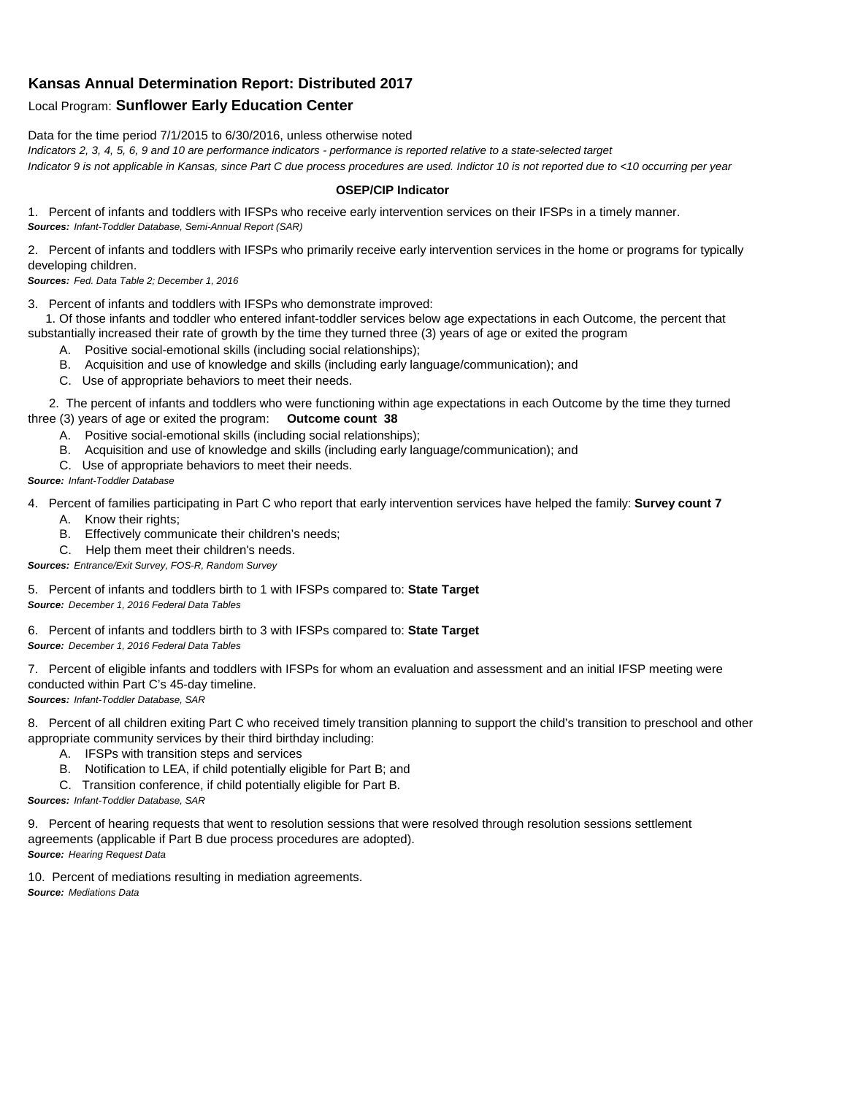## **Kansas Annual Determination Report: Distributed 2017**

## Local Program: **Sunflower Early Education Center**

Data for the time period 7/1/2015 to 6/30/2016, unless otherwise noted

*Indicators 2, 3, 4, 5, 6, 9 and 10 are performance indicators - performance is reported relative to a state-selected target Indicator 9 is not applicable in Kansas, since Part C due process procedures are used. Indictor 10 is not reported due to <10 occurring per year*

## **OSEP/CIP Indicator**

1. Percent of infants and toddlers with IFSPs who receive early intervention services on their IFSPs in a timely manner. *Sources: Infant-Toddler Database, Semi-Annual Report (SAR)* 

2. Percent of infants and toddlers with IFSPs who primarily receive early intervention services in the home or programs for typically developing children.

*Sources: Fed. Data Table 2; December 1, 2016*

3. Percent of infants and toddlers with IFSPs who demonstrate improved:

 1. Of those infants and toddler who entered infant-toddler services below age expectations in each Outcome, the percent that substantially increased their rate of growth by the time they turned three (3) years of age or exited the program

- A. Positive social-emotional skills (including social relationships);
- B. Acquisition and use of knowledge and skills (including early language/communication); and
- C. Use of appropriate behaviors to meet their needs.

 2. The percent of infants and toddlers who were functioning within age expectations in each Outcome by the time they turned three (3) years of age or exited the program: **Outcome count 38**

- A. Positive social-emotional skills (including social relationships);
- B. Acquisition and use of knowledge and skills (including early language/communication); and
- C. Use of appropriate behaviors to meet their needs.

## *Source: Infant-Toddler Database*

4. Percent of families participating in Part C who report that early intervention services have helped the family: **Survey count 7**

- A. Know their rights;
- B. Effectively communicate their children's needs;
- C. Help them meet their children's needs.
- *Sources: Entrance/Exit Survey, FOS-R, Random Survey*

5. Percent of infants and toddlers birth to 1 with IFSPs compared to: **State Target** *Source: December 1, 2016 Federal Data Tables*

6. Percent of infants and toddlers birth to 3 with IFSPs compared to: **State Target** *Source: December 1, 2016 Federal Data Tables*

7. Percent of eligible infants and toddlers with IFSPs for whom an evaluation and assessment and an initial IFSP meeting were conducted within Part C's 45-day timeline.

*Sources: Infant-Toddler Database, SAR*

8. Percent of all children exiting Part C who received timely transition planning to support the child's transition to preschool and other appropriate community services by their third birthday including:

- A. IFSPs with transition steps and services
- B. Notification to LEA, if child potentially eligible for Part B; and
- C. Transition conference, if child potentially eligible for Part B.

*Sources: Infant-Toddler Database, SAR*

9. Percent of hearing requests that went to resolution sessions that were resolved through resolution sessions settlement agreements (applicable if Part B due process procedures are adopted). *Source: Hearing Request Data*

10. Percent of mediations resulting in mediation agreements. *Source: Mediations Data*